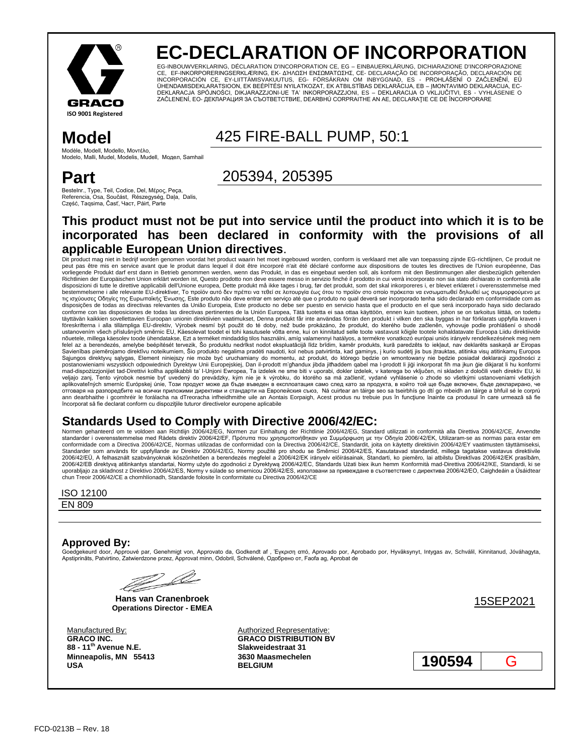

# **EC-DECLARATION OF INCORPORATION**

EG-INBOUWVERKLARING, DÉCLARATION D'INCORPORATION CE, EG – EINBAUERKLÄRUNG, DICHIARAZIONE D'INCORPORAZIONE CE, EF-INKORPORERINGSERKLÆRING, ΕΚ- ΔΉΛΩΣΗ ΕΝΣΩΜΆΤΩΣΗΣ, CE- DECLARAÇÃO DE INCORPORAÇÃO, DECLARACIÓN DE INCORPORACIÓN CE, EY-LIITTÄMISVAKUUTUS, EG- FÖRSÄKRAN OM INBYGGNAD, ES - PROHLÁŠENÍ O ZAČLENĚNÍ, EÜ ÜHENDAMISDEKLARATSIOON, EK BEÉPÍTÉSI NYILATKOZAT, EK ATBILSTĪBAS DEKLARĀCIJA, EB – ĮMONTAVIMO DEKLARACIJA, EC-DEKLARACJA SPÓJNOŚCI, DIKJARAZZJONI-UE TA' INKORPORAZZJONI, ES – DEKLARACIJA O VKLJUČITVI, ES - VYHLÁSENIE O<br>ZAČLENENÍ, EO- ДЕКЛАРАЦИЯ ЗА СЪОТВЕТСТВИЕ, DEARBHÚ CORPRAITHE AN AE, DECLARAȚIE CE DE ÎNCORPORARE

**Model** 425 FIRE-BALL PUMP, 50:1

Modèle, Modell, Modello, Μονηέλο, Modelo, Malli, Mudel, Modelis, Mudell, Модел, Samhail

## **Part**

Bestelnr., Type, Teil, Codice, Del, Μέρος, Peça, Referencia, Osa, Součást, Részegység, Daļa, Dalis, Część, Taqsima, Časť, Част, Páirt, Parte

## 205394, 205395

### **This product must not be put into service until the product into which it is to be incorporated has been declared in conformity with the provisions of all applicable European Union directives**.

Dit product mag niet in bedrijf worden genomen voordat het product waarin het moet ingebouwd worden, conform is verklaard met alle van toepassing zijnde EG-richtlijnen, Ce produit ne peut pas être mis en service avant que le produit dans lequel il doit être incorporé n'ait été déclaré conforme aux dispositions de toutes les directives de l'Union européenne, Das vorliegende Produkt darf erst dann in Betrieb genommen werden, wenn das Produkt, in das es eingebaut werden soll, als konform mit den Bestimmungen aller diesbezüglich geltenden<br>Richtlinien der Europäischen Union erklärt wo disposizioni di tutte le direttive applicabili dell'Unione europea, Dette produkt må ikke tages i brug, før det produkt, som det skal inkorporeres i, er blevet erklæret i overensstemmelse med bestemmelserne i alle relevante EU-direktiver, Το προϊόν αυτό δεν πρέπει να τεθεί σε λειτουργία έως ότου το προϊόν στο οποίο πρόκειται να ενσωματωθεί δηλωθεί ως συμμορφούμενο με τις ισχύουσες Οδηγίες της Ευρωπαϊκής Ένωσης, Este produto não deve entrar em serviço até que o produto no qual deverá ser incorporado tenha sido declarado em conformidade com as disposições de todas as directivas relevantes da União Europeia, Este producto no debe ser puesto en servicio hasta que el producto en el que será incorporado haya sido declarado<br>conforme con las disposiciones de todas las täyttävän kaikkien sovellettavien Euroopan unionin direktiivien vaatimukset, Denna produkt får inte användas förrän den produkt i vilken den ska byggas in har förklarats uppfylla kraven i föreskrifterna i alla tillämpliga EU-direktiv, Výrobek nesmí být použit do té doby, než bude prokázáno, že produkt, do kterého bude začleněn, vyhovuje podle prohlášení o shodě ustanovením všech příslušných směrnic EU, Käesolevat toodet ei tohi kasutusele võtta enne, kui on kinnitatud selle toote vastavust kõigile tootele kohaldatavate Euroopa Liidu direktiivide nõuetele, millega käesolev toode ühendatakse. Ezt a terméket mindaddig tilos használni, amíg valamennyi hatályos, a termékre vonatkozó európai uniós irányely rendelkezésének meg nem felel az a berendezés, amelybe beépítését tervezik, Šo produktu nedrīkst nodot ekspluatācijā līdz brīdim, kamēr produkts, kurā paredzēts to iekļaut, nav deklarēts saskaņā ar Eiropas Savienības piemērojamo direktīvu noteikumiem, Šio produkto negalima pradėti naudoti, kol nebus patvirtinta, kad gaminys, į kurio sudėtį jis bus įtrauktas, atitinka visų atitinkamų Europos Sąjungos direktyvų sąlygas, Element niniejszy nie może być uruchamiany do momentu, aż produkt, do którego będzie on wmontowany nie będzie posiadał deklaracji zgodności z<br>postanowieniami wszystkich odpowiednich Dyrektyw Uni mad-dispożizzjonijiet tad-Direttivi kollha applikabbli ta' l-Unjoni Ewropea, Ta izdelek ne sme biti v uporabi, dokler izdelek, v katerega bo vključen, ni skladen z določili vseh direktiv EU, ki veljajo zanj, Tento výrobok nesmie byť uvedený do prevádzky, kým nie je k výrobku, do ktorého sa má začleniť, vydané vyhlásenie o zhode so všetkými ustanoveniami všetkých aplikovateľných smerníc Európskej únie, Този продукт може да бъде въведен в експлоатация само след като за продукта, в който той ще бъде включен, бъде декларирано, че отговаря на разпоредбите на всички приложими директиви и стандарти на Европейския съюз, Ná cuirtear an táirge so tseirbhís go dtí go mbeidh an táirge a bhfuil sé le corprú<br>ann dearbhaithe i gcomhréir le forálacha na dTreo încorporat să fie declarat conform cu dispozițiile tuturor directivelor europene aplicabile

# Standards Used to Comply with Directive 2006/42/EC:<br>Normen gehanteerd om te voldoen aan Richtlijn 2006/42/EG, Normen zur Einhaltung der Richtlinie 2006/42/EG, Standard utilizzati in conformità alla Direttiva 2006/42/CE, An

standarder i overensstemmelse med Rådets direktiv 2006/42/ΕF, Πρότυπα που χρησιμοποιήθηκαν για Συμμόρφωση με την Οδηγία 2006/42/ΕΚ, Utilizaram-se as normas para estar em conformidade com a Directiva 2006/42/CE, Normas utilizadas de conformidad con la Directiva 2006/42/CE, Standardit, joita on käytetty direktiivin 2006/42/EY vaatimusten täyttämiseksi,<br>Standarder som används för uppfyllande 2006/42/EÜ, A felhasznált szabványoknak köszönhetően a berendezés megfelel a 2006/42/EK irányelv előírásainak, Standarti, ko piemēro, lai atbilstu Direktīvas 2006/42/EK prasībām,<br>2006/42/EB direktyvą attirikantys standart chun Treoir 2006/42/CE a chomhlíonadh, Standarde folosite în conformitate cu Directiva 2006/42/CE

#### ISO 12100

EN 809

#### **Approved By:**

Goedgekeurd door, Approuvé par, Genehmigt von, Approvato da, Godkendt af , Έγκριση από, Aprovado por, Aprobado por, Hyväksynyt, Intygas av, Schválil, Kinnitanud, Jóváhagyta, Apstiprināts, Patvirtino, Zatwierdzone przez, Approvat minn, Odobril, Schválené, Одобрено от, Faofa ag, Aprobat de

Z L

**Hans van Cranenbroek Operations Director - EMEA** 15SEP2021

**GRACO INC. 88 - 11th Avenue N.E. Minneapolis, MN 55413 USA**

Manufactured By: Manufactured By: Authorized Representative: **GRACO DISTRIBUTION BV Slakweidestraat 31 3630 Maasmechelen**